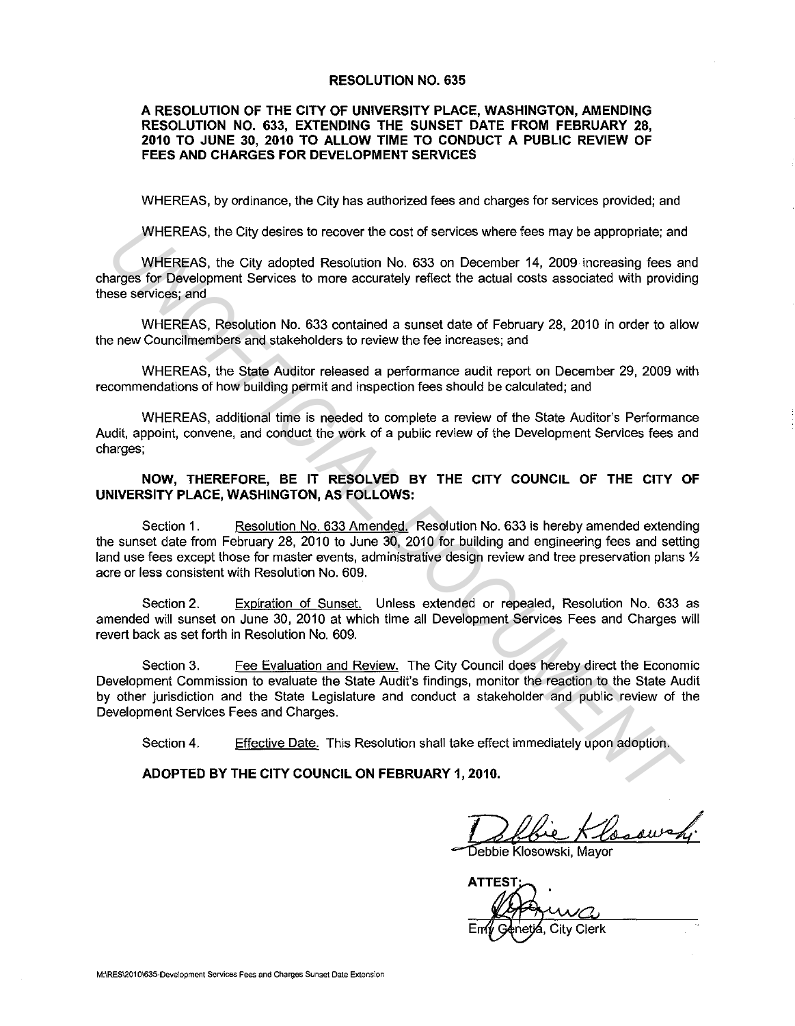#### **RESOLUTION NO. 635**

#### **A RESOLUTION OF THE CITY OF UNIVERSITY PLACE, WASHINGTON, AMENDING RESOLUTION NO. 633, EXTENDING THE SUNSET DATE FROM FEBRUARY 28, 2010 TO JUNE 30, 2010 TO ALLOW TIME TO CONDUCT A PUBLIC REVIEW OF FEES AND CHARGES FOR DEVELOPMENT SERVICES**

WHEREAS, by ordinance, the City has authorized fees and charges for services provided; and

WHEREAS, the City desires to recover the cost of services where fees may be appropriate; and

WHEREAS, the City adopted Resolution No. 633 on December 14, 2009 increasing fees and charges for Development Services to more accurately reflect the actual costs associated with providing these services; and

WHEREAS, Resolution No. 633 contained a sunset date of February 28, 2010 in order to allow the new Council members and stakeholders to review the fee increases; and

WHEREAS, the State Auditor released a performance audit report on December 29, 2009 with recommendations of how building permit and inspection fees should be calculated; and

WHEREAS, additional time is needed to complete a review of the State Auditor's Performance Audit, appoint, convene, and conduct the work of a public review of the Development Services fees and charges;

#### **NOW, THEREFORE, BE IT RESOLVED BY THE CITY COUNCIL OF THE CITY OF UNIVERSITY PLACE, WASHINGTON, AS FOLLOWS:**

Section 1. Resolution No. 633 Amended. Resolution No. 633 is hereby amended extending the sunset date from February 28, 2010 to June 30, 2010 for building and engineering fees and setting land use fees except those for master events, administrative design review and tree preservation plans  $\mathcal{V}_2$ acre or less consistent with Resolution No. 609.

Section 2. Expiration of Sunset. Unless extended or repealed, Resolution No. 633 as amended will sunset on June 30, 2010 at which time all Development Services Fees and Charges will revert back as set forth in Resolution No. 609.

Section 3. Fee Evaluation and Review. The City Council does hereby direct the Economic Development Commission to evaluate the State Audit's findings, monitor the reaction to the State Audit by other jurisdiction and the State Legislature and conduct a stakeholder and public review of the Development Services Fees and Charges. WHEREAS, the City desires to recover the cost of services where fees may be appropriate; an WHEREAS, the City adopted Resolution No. 633 on December 14, 2000 increasing fees an expression Development Services to more accur

Section 4. Effective Date. This Resolution shall take effect immediately upon adoption.

**ADOPTED BY THE CITY COUNCIL ON FEBRUARY 1, 2010.** 

bie Klossur

Debbie Klosowski, Mavor

**ATTEST** City Clerk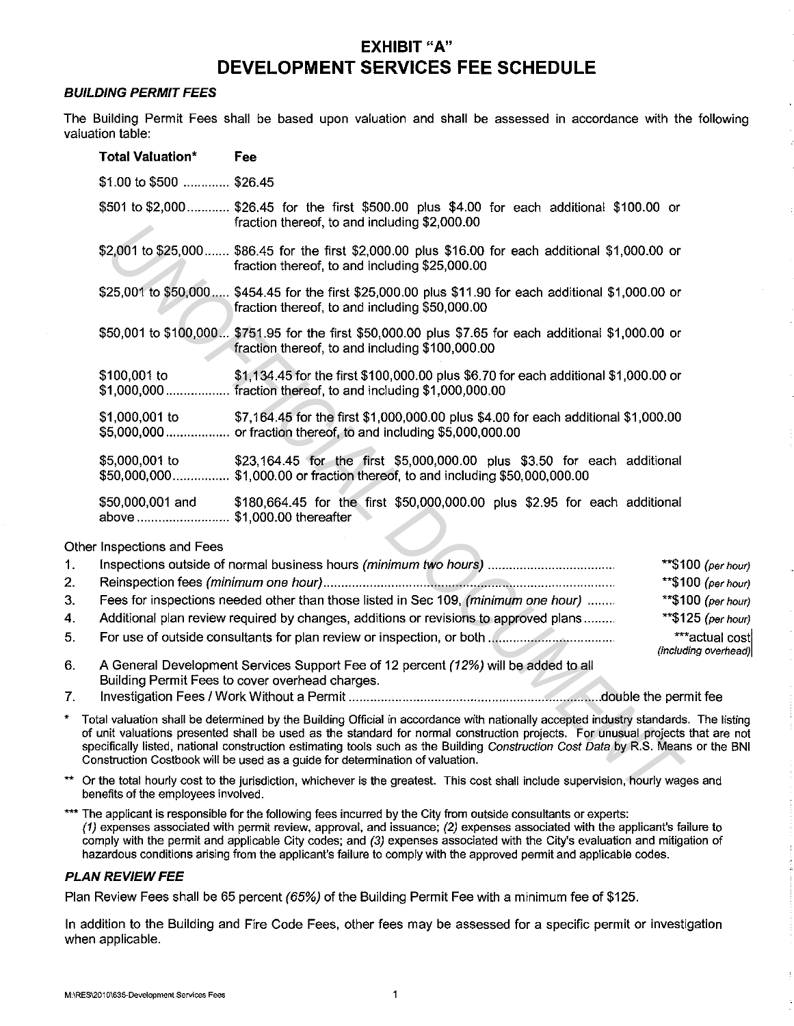# **EXHIBIT "A" DEVELOPMENT SERVICES FEE SCHEDULE**

#### **BUILDING PERMIT FEES**

The Building Permit Fees shall be based upon valuation and shall be assessed in accordance with the following valuation table:

| <b>Total Valuation*</b>                         | Fee                                                                                                                                                                                                                                                                                                                                                                                                                                               |
|-------------------------------------------------|---------------------------------------------------------------------------------------------------------------------------------------------------------------------------------------------------------------------------------------------------------------------------------------------------------------------------------------------------------------------------------------------------------------------------------------------------|
| \$1.00 to \$500  \$26.45                        |                                                                                                                                                                                                                                                                                                                                                                                                                                                   |
|                                                 | \$501 to \$2,000 \$26.45 for the first \$500.00 plus \$4.00 for each additional \$100.00 or<br>fraction thereof, to and including \$2,000.00                                                                                                                                                                                                                                                                                                      |
|                                                 | \$2,001 to \$25,000 \$86.45 for the first \$2,000.00 plus \$16.00 for each additional \$1,000.00 or<br>fraction thereof, to and including \$25,000.00                                                                                                                                                                                                                                                                                             |
|                                                 | \$25,001 to \$50,000 \$454.45 for the first \$25,000.00 plus \$11.90 for each additional \$1,000.00 or<br>fraction thereof, to and including \$50,000.00                                                                                                                                                                                                                                                                                          |
|                                                 | \$50,001 to \$100,000 \$751.95 for the first \$50,000.00 plus \$7.65 for each additional \$1,000.00 or<br>fraction thereof, to and including \$100,000.00                                                                                                                                                                                                                                                                                         |
| \$100,001 to                                    | \$1,134.45 for the first \$100,000.00 plus \$6.70 for each additional \$1,000.00 or<br>\$1,000,000  fraction thereof, to and including \$1,000,000.00                                                                                                                                                                                                                                                                                             |
| \$1,000,001 to                                  | \$7,164.45 for the first \$1,000,000.00 plus \$4.00 for each additional \$1,000.00<br>\$5,000,000 or fraction thereof, to and including \$5,000,000.00                                                                                                                                                                                                                                                                                            |
| \$5,000,001 to                                  | \$23,164.45 for the first \$5,000,000.00 plus \$3.50 for each additional<br>\$50,000,000 \$1,000.00 or fraction thereof, to and including \$50,000,000.00                                                                                                                                                                                                                                                                                         |
| \$50,000,001 and<br>above \$1,000.00 thereafter | \$180,664.45 for the first \$50,000,000.00 plus \$2.95 for each additional                                                                                                                                                                                                                                                                                                                                                                        |
| Inspections and Fees                            |                                                                                                                                                                                                                                                                                                                                                                                                                                                   |
|                                                 | Inspections outside of normal business hours (minimum two hours)<br>**\$100<br>$**\$100$                                                                                                                                                                                                                                                                                                                                                          |
|                                                 | **\$100<br>Fees for inspections needed other than those listed in Sec 109, (minimum one hour)                                                                                                                                                                                                                                                                                                                                                     |
|                                                 | **\$125<br>Additional plan review required by changes, additions or revisions to approved plans                                                                                                                                                                                                                                                                                                                                                   |
|                                                 | $***a$                                                                                                                                                                                                                                                                                                                                                                                                                                            |
|                                                 | (includin<br>A General Development Services Support Fee of 12 percent (12%) will be added to all<br>Building Permit Fees to cover overhead charges.                                                                                                                                                                                                                                                                                               |
|                                                 |                                                                                                                                                                                                                                                                                                                                                                                                                                                   |
|                                                 | tal valuation shall be determined by the Building Official in accordance with nationally accepted industry standards.<br>unit valuations presented shall be used as the standard for normal construction projects. For unusual projects th<br>ecifically listed, national construction estimating tools such as the Building Construction Cost Data by R.S. Means<br>onstruction Costbook will be used as a guide for determination of valuation. |
| nefits of the employees involved.               | the total hourly cost to the jurisdiction, whichever is the greatest. This cost shall include supervision, hourly wages                                                                                                                                                                                                                                                                                                                           |

Other Inspections and Fees

| $\mathbf{1}$ . |                                                                                      | $**$ \$100 (per hour)                  |
|----------------|--------------------------------------------------------------------------------------|----------------------------------------|
| 2.             |                                                                                      | ** $$100 (per hour)$                   |
| 3 <sup>1</sup> | Fees for inspections needed other than those listed in Sec 109, (minimum one hour)   | ** $$100$ (per hour)                   |
| $\mathbf{A}$   | Additional plan review required by changes, additions or revisions to approved plans | ** $$125$ (per hour)                   |
| 5.             |                                                                                      | ***actual cost<br>(including overhead) |
| - 6            | A General Development Services Support Eee of 12 percent (12%) will be added to all  |                                        |

- 6. A General Development Services Support Fee of 12 percent (12%) will be a Building Permit Fees to cover overhead charges.
- 7. Investigation Fees I Work Without a Permit ....................................................................... double the permit fee
- \* Total valuation shall be determined by the Building Official in accordance with nationally accepted industry standards. The listing of unit valuations presented shall be used as the standard for normal construction projects. For unusual projects that are not specifically listed, national construction estimating tools such as the Building Construction Cost Data by R.S. Means or the BNI Construction Costbook will be used as a guide for determination of valuation.
- Or the total hourly cost to the jurisdiction, whichever is the greatest. This cost shall include supervision, hourly wages and benefits of the employees involved.
- \*\*\* The applicant is responsible for the following fees incurred by the City from outside consultants or experts: (1) expenses associated with permit review, approval, and issuance; (2) expenses associated with the applicant's failure to comply with the permit and applicable City codes; and (3) expenses associated with the City's evaluation and mitigation of hazardous conditions arising from the applicant's failure to comply with the approved permit and applicable codes.

## **PLAN REVIEW FEE**

Plan Review Fees shall be 65 percent (65%) of the Building Permit Fee with a minimum fee of \$125.

In addition to the Building and Fire Code Fees, other fees may be assessed for a specific permit or investigation when applicable.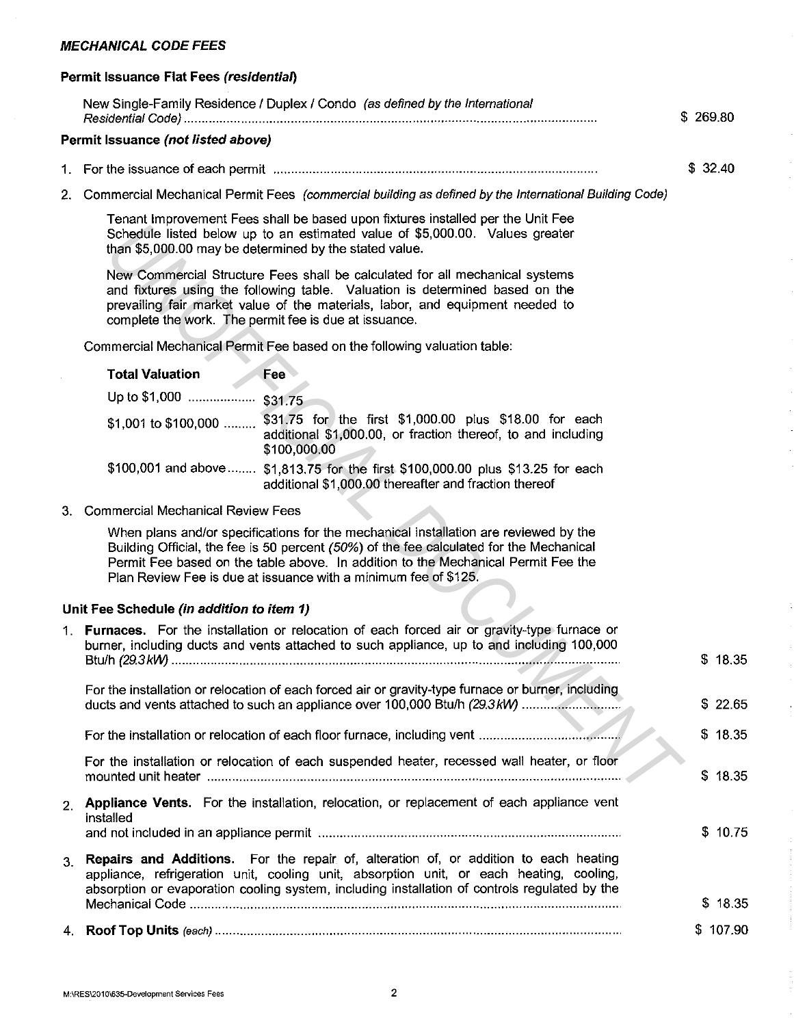# **MECHANICAL CODE FEES**

## **Permit Issuance Flat Fees (residential)**

|                | New Single-Family Residence / Duplex / Condo (as defined by the International                                                                                                                                                                                                                                                           | \$269.80 |
|----------------|-----------------------------------------------------------------------------------------------------------------------------------------------------------------------------------------------------------------------------------------------------------------------------------------------------------------------------------------|----------|
|                | Permit Issuance (not listed above)                                                                                                                                                                                                                                                                                                      |          |
| 1.             |                                                                                                                                                                                                                                                                                                                                         | \$32.40  |
| 2.             | Commercial Mechanical Permit Fees (commercial building as defined by the International Building Code)                                                                                                                                                                                                                                   |          |
|                | Tenant Improvement Fees shall be based upon fixtures installed per the Unit Fee<br>Schedule listed below up to an estimated value of \$5,000.00. Values greater<br>than \$5,000.00 may be determined by the stated value.                                                                                                               |          |
|                | New Commercial Structure Fees shall be calculated for all mechanical systems<br>and fixtures using the following table. Valuation is determined based on the<br>prevailing fair market value of the materials, labor, and equipment needed to<br>complete the work. The permit fee is due at issuance.                                  |          |
|                | Commercial Mechanical Permit Fee based on the following valuation table:                                                                                                                                                                                                                                                                |          |
|                | Fee<br><b>Total Valuation</b>                                                                                                                                                                                                                                                                                                           |          |
|                |                                                                                                                                                                                                                                                                                                                                         |          |
|                | \$1,001 to \$100,000  \$31.75 for the first \$1,000.00 plus \$18.00 for each<br>additional \$1,000.00, or fraction thereof, to and including<br>\$100,000.00                                                                                                                                                                            |          |
|                | \$100,001 and above  \$1,813.75 for the first \$100,000.00 plus \$13.25 for each<br>additional \$1,000.00 thereafter and fraction thereof                                                                                                                                                                                               |          |
|                | 3. Commercial Mechanical Review Fees                                                                                                                                                                                                                                                                                                    |          |
|                | When plans and/or specifications for the mechanical installation are reviewed by the<br>Building Official, the fee is 50 percent (50%) of the fee calculated for the Mechanical<br>Permit Fee based on the table above. In addition to the Mechanical Permit Fee the<br>Plan Review Fee is due at issuance with a minimum fee of \$125. |          |
|                | Unit Fee Schedule (in addition to item 1)                                                                                                                                                                                                                                                                                               |          |
|                | 1. Furnaces. For the installation or relocation of each forced air or gravity-type furnace or<br>burner, including ducts and vents attached to such appliance, up to and including 100,000                                                                                                                                              | \$18.35  |
|                | For the installation or relocation of each forced air or gravity-type furnace or burner, including                                                                                                                                                                                                                                      |          |
|                | ducts and vents attached to such an appliance over 100,000 Btu/h (29.3 kW)                                                                                                                                                                                                                                                              | \$22.65  |
|                |                                                                                                                                                                                                                                                                                                                                         | \$18.35  |
|                | For the installation or relocation of each suspended heater, recessed wall heater, or floor                                                                                                                                                                                                                                             | \$18.35  |
| 2 <sub>1</sub> | Appliance Vents. For the installation, relocation, or replacement of each appliance vent                                                                                                                                                                                                                                                |          |
|                | installed                                                                                                                                                                                                                                                                                                                               | \$10.75  |
| 3.             | <b>Repairs and Additions.</b> For the repair of, alteration of, or addition to each heating<br>appliance, refrigeration unit, cooling unit, absorption unit, or each heating, cooling,<br>absorption or evaporation cooling system, including installation of controls regulated by the                                                 |          |
|                |                                                                                                                                                                                                                                                                                                                                         | \$18.35  |
|                |                                                                                                                                                                                                                                                                                                                                         | \$107.90 |

 $\ddot{\phantom{0}}$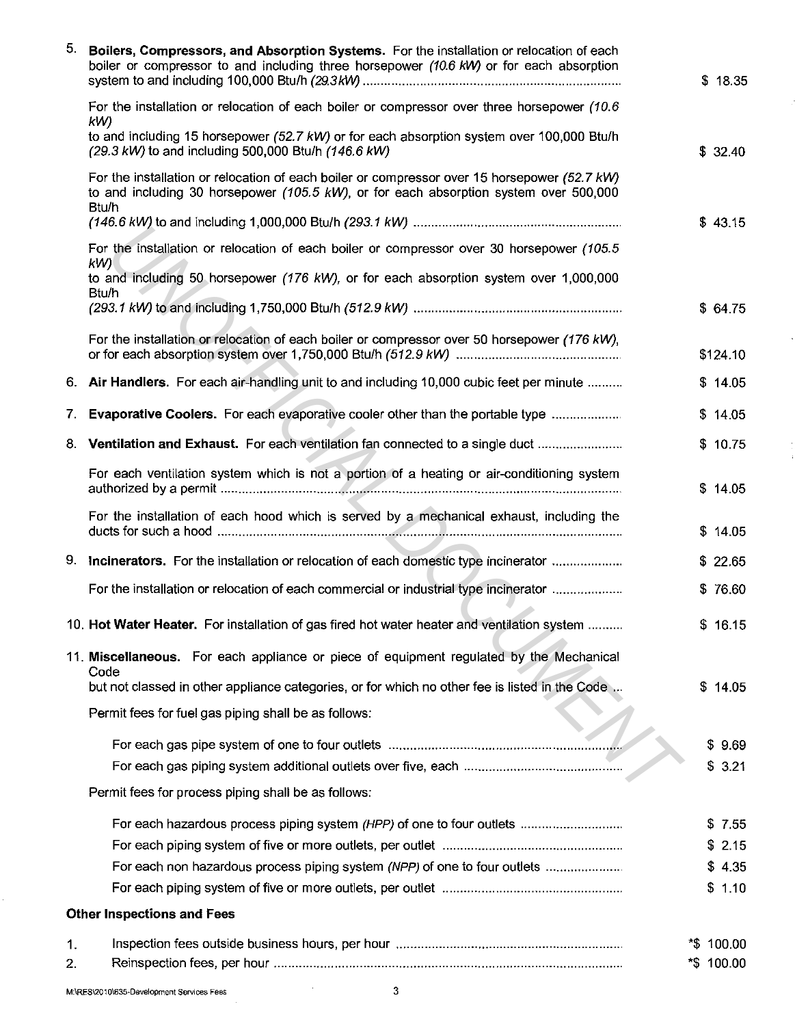| 5. | Boilers, Compressors, and Absorption Systems. For the installation or relocation of each<br>boiler or compressor to and including three horsepower (10.6 kW) or for each absorption                       | \$18.35     |
|----|-----------------------------------------------------------------------------------------------------------------------------------------------------------------------------------------------------------|-------------|
|    | For the installation or relocation of each boiler or compressor over three horsepower (10.6)<br>kW)                                                                                                       |             |
|    | to and including 15 horsepower (52.7 kW) or for each absorption system over 100,000 Btu/h<br>(29.3 kW) to and including 500,000 Btu/h (146.6 kW)                                                          | \$32.40     |
|    | For the installation or relocation of each boiler or compressor over 15 horsepower (52.7 kW)<br>to and including 30 horsepower $(105.5 \text{ kW})$ , or for each absorption system over 500,000<br>Btu/h |             |
|    |                                                                                                                                                                                                           | \$43.15     |
|    | For the installation or relocation of each boiler or compressor over 30 horsepower (105.5<br>k(W)                                                                                                         |             |
|    | to and including 50 horsepower (176 kW), or for each absorption system over 1,000,000<br>Btu/h                                                                                                            |             |
|    |                                                                                                                                                                                                           | \$64.75     |
|    | For the installation or relocation of each boiler or compressor over 50 horsepower (176 kW),                                                                                                              | \$124.10    |
|    | 6. Air Handlers. For each air-handling unit to and including 10,000 cubic feet per minute                                                                                                                 | \$14.05     |
| 7. | <b>Evaporative Coolers.</b> For each evaporative cooler other than the portable type                                                                                                                      | 14.05<br>S. |
|    |                                                                                                                                                                                                           |             |
|    | 8. Ventilation and Exhaust. For each ventilation fan connected to a single duct                                                                                                                           | \$10.75     |
|    | For each ventilation system which is not a portion of a heating or air-conditioning system                                                                                                                | \$14.05     |
|    | For the installation of each hood which is served by a mechanical exhaust, including the                                                                                                                  | \$<br>14.05 |
|    | 9. Incinerators. For the installation or relocation of each domestic type incinerator                                                                                                                     | \$22.65     |
|    | For the installation or relocation of each commercial or industrial type incinerator                                                                                                                      | \$76.60     |
|    |                                                                                                                                                                                                           |             |
|    | 10. Hot Water Heater. For installation of gas fired hot water heater and ventilation system                                                                                                               | \$16.15     |
|    | 11. Miscellaneous. For each appliance or piece of equipment regulated by the Mechanical<br>Code                                                                                                           |             |
|    | but not classed in other appliance categories, or for which no other fee is listed in the Code                                                                                                            | \$14.05     |
|    | Permit fees for fuel gas piping shall be as follows:                                                                                                                                                      |             |
|    |                                                                                                                                                                                                           | \$9.69      |
|    |                                                                                                                                                                                                           | \$3.21      |
|    | Permit fees for process piping shall be as follows:                                                                                                                                                       |             |
|    | For each hazardous process piping system (HPP) of one to four outlets                                                                                                                                     | \$7.55      |
|    |                                                                                                                                                                                                           | \$2.15      |
|    | For each non hazardous process piping system (NPP) of one to four outlets                                                                                                                                 | \$4.35      |
|    |                                                                                                                                                                                                           | \$1.10      |
|    | <b>Other Inspections and Fees</b>                                                                                                                                                                         |             |
| 1. |                                                                                                                                                                                                           | *\$ 100.00  |
| 2. |                                                                                                                                                                                                           | *\$ 100.00  |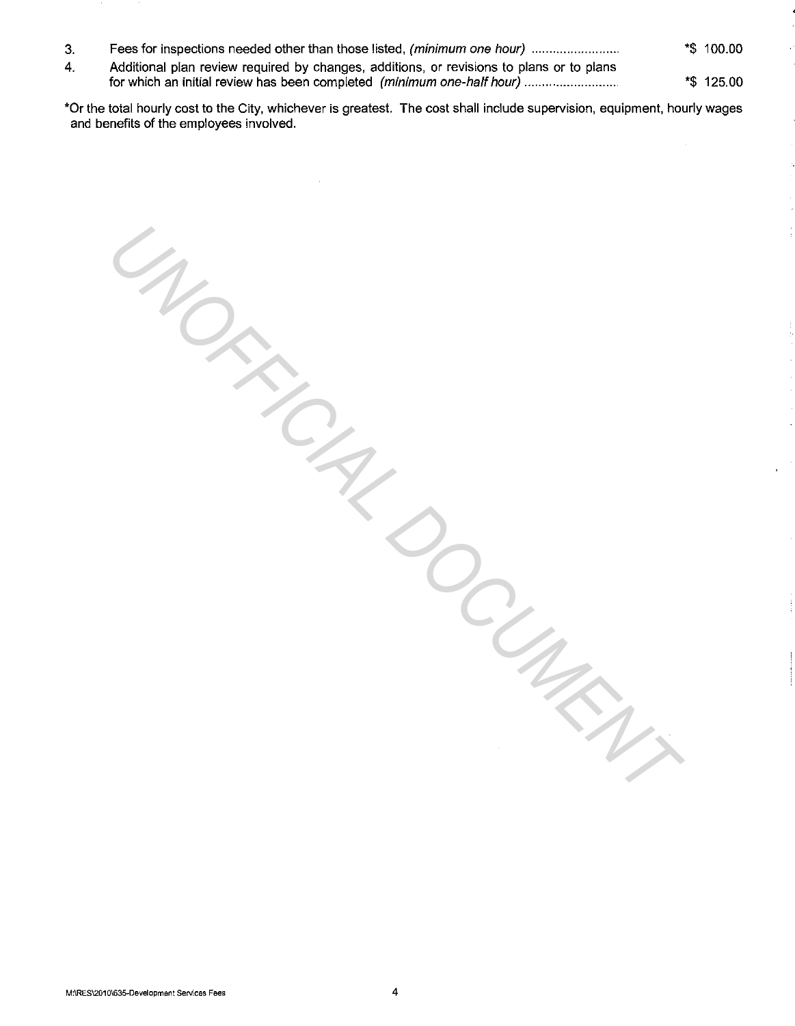- 3. Fees for inspections needed other than those listed, (minimum one hour) ........................... \*\$ 100.00
- 4. Additional plan review required by changes, additions, or revisions to plans or to plans for which an initial review has been completed (minimum one-half hour) ............................
- \*Or the total hourly cost to the City, whichever is greatest. The cost shall include supervision, equipment, hourly wages and benefits of the employees involved.

**MORRINGER DOCUMENT** 

\*\$ 125.00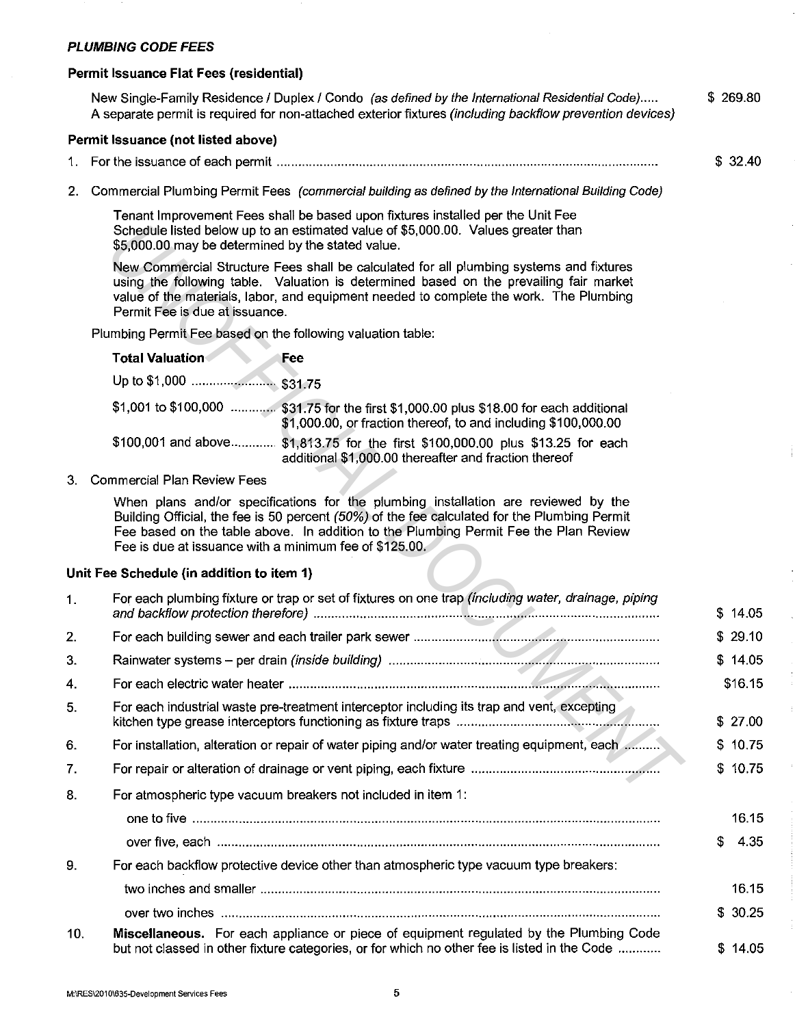### **PLUMBING CODE FEES**

#### **Permit Issuance Flat Fees (residential)**

New Single-Family Residence / Duplex / Condo (as defined by the International Residential Code)..... A separate permit is required for non-attached exterior fixtures (including backflow prevention devices) \$ 269.80

#### **Permit Issuance (not listed above)**

- 1. For the issuance of each permit .......................................................................................................... . \$ 32.40
- 2. Commercial Plumbing Permit Fees (commercial building as defined by the International Building Code)

Tenant Improvement Fees shall be based upon fixtures installed per the Unit Fee Schedule listed below up to an estimated value of \$5,000.00. Values greater than \$5,000.00 may be determined by the stated value.

| <b>Total Valuation</b> | Fee                                                                                                                                                       |
|------------------------|-----------------------------------------------------------------------------------------------------------------------------------------------------------|
|                        |                                                                                                                                                           |
|                        | \$1,001 to \$100,000  \$31.75 for the first \$1,000.00 plus \$18.00 for each additional<br>\$1,000.00, or fraction thereof, to and including \$100,000.00 |
|                        | \$100,001 and above \$1,813.75 for the first \$100,000.00 plus \$13.25 for each<br>additional \$1,000.00 thereafter and fraction thereof                  |

#### **Unit Fee Schedule (in addition to item 1)**

|     | Schedule listed below up to an estimated value of \$5,000.00. Values greater than<br>\$5,000.00 may be determined by the stated value.                                                                                                                                                                                               |             |
|-----|--------------------------------------------------------------------------------------------------------------------------------------------------------------------------------------------------------------------------------------------------------------------------------------------------------------------------------------|-------------|
|     | New Commercial Structure Fees shall be calculated for all plumbing systems and fixtures<br>using the following table. Valuation is determined based on the prevailing fair market<br>value of the materials, labor, and equipment needed to complete the work. The Plumbing<br>Permit Fee is due at issuance.                        |             |
|     | Plumbing Permit Fee based on the following valuation table:                                                                                                                                                                                                                                                                          |             |
|     | <b>Total Valuation</b><br>Fee                                                                                                                                                                                                                                                                                                        |             |
|     |                                                                                                                                                                                                                                                                                                                                      |             |
|     | \$1,001 to \$100,000  \$31.75 for the first \$1,000.00 plus \$18.00 for each additional<br>\$1,000.00, or fraction thereof, to and including \$100,000.00                                                                                                                                                                            |             |
|     | \$100,001 and above \$1,813.75 for the first \$100,000.00 plus \$13.25 for each<br>additional \$1,000.00 thereafter and fraction thereof                                                                                                                                                                                             |             |
| 3.  | <b>Commercial Plan Review Fees</b>                                                                                                                                                                                                                                                                                                   |             |
|     | When plans and/or specifications for the plumbing installation are reviewed by the<br>Building Official, the fee is 50 percent (50%) of the fee calculated for the Plumbing Permit<br>Fee based on the table above. In addition to the Plumbing Permit Fee the Plan Review<br>Fee is due at issuance with a minimum fee of \$125.00. |             |
|     | Unit Fee Schedule (in addition to item 1)                                                                                                                                                                                                                                                                                            |             |
| 1.  | For each plumbing fixture or trap or set of fixtures on one trap (including water, drainage, piping                                                                                                                                                                                                                                  | \$14.05     |
| 2.  |                                                                                                                                                                                                                                                                                                                                      | \$29.10     |
| 3.  |                                                                                                                                                                                                                                                                                                                                      | \$14.05     |
| 4.  |                                                                                                                                                                                                                                                                                                                                      | \$16.15     |
| 5.  | For each industrial waste pre-treatment interceptor including its trap and vent, excepting                                                                                                                                                                                                                                           | \$<br>27.00 |
| 6.  | For installation, alteration or repair of water piping and/or water treating equipment, each                                                                                                                                                                                                                                         | 10.75<br>S. |
| 7.  |                                                                                                                                                                                                                                                                                                                                      | \$10.75     |
| 8.  | For atmospheric type vacuum breakers not included in item 1:                                                                                                                                                                                                                                                                         |             |
|     |                                                                                                                                                                                                                                                                                                                                      | 16.15       |
|     |                                                                                                                                                                                                                                                                                                                                      | \$<br>4.35  |
| 9.  | For each backflow protective device other than atmospheric type vacuum type breakers:                                                                                                                                                                                                                                                |             |
|     |                                                                                                                                                                                                                                                                                                                                      | 16.15       |
|     |                                                                                                                                                                                                                                                                                                                                      | \$30.25     |
| 10. | Miscellaneous. For each appliance or piece of equipment regulated by the Plumbing Code<br>but not classed in other fixture categories, or for which no other fee is listed in the Code                                                                                                                                               | \$14.05     |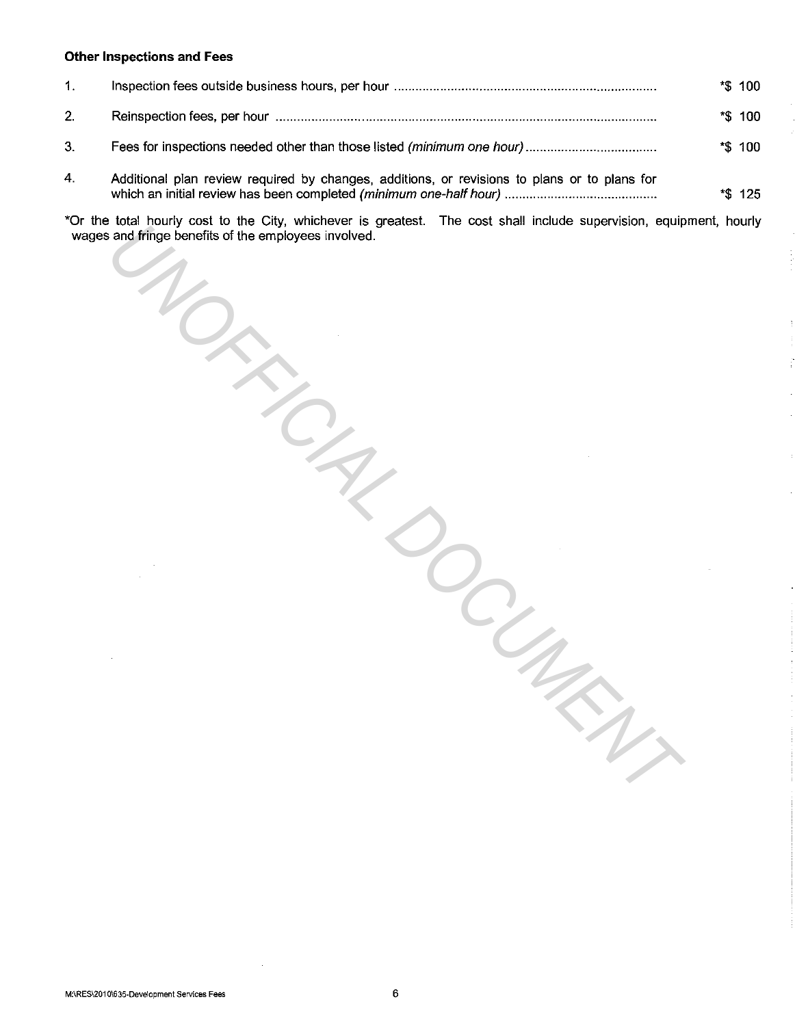### **Other Inspections and Fees**

| $\mathbf{1}$ . |                                                                                              | *\$ 100 |
|----------------|----------------------------------------------------------------------------------------------|---------|
| 2.             |                                                                                              | *\$ 100 |
| 3.             |                                                                                              | *\$ 100 |
| 4.             | Additional plan review required by changes, additions, or revisions to plans or to plans for | *\$ 125 |
|                |                                                                                              |         |

\*Or the total hourly cost to the City, whichever is greatest. The cost shall include supervision, equipment, hourly wages and fringe benefits of the employees involved.

*UNOFFICIAL DOCUMENT*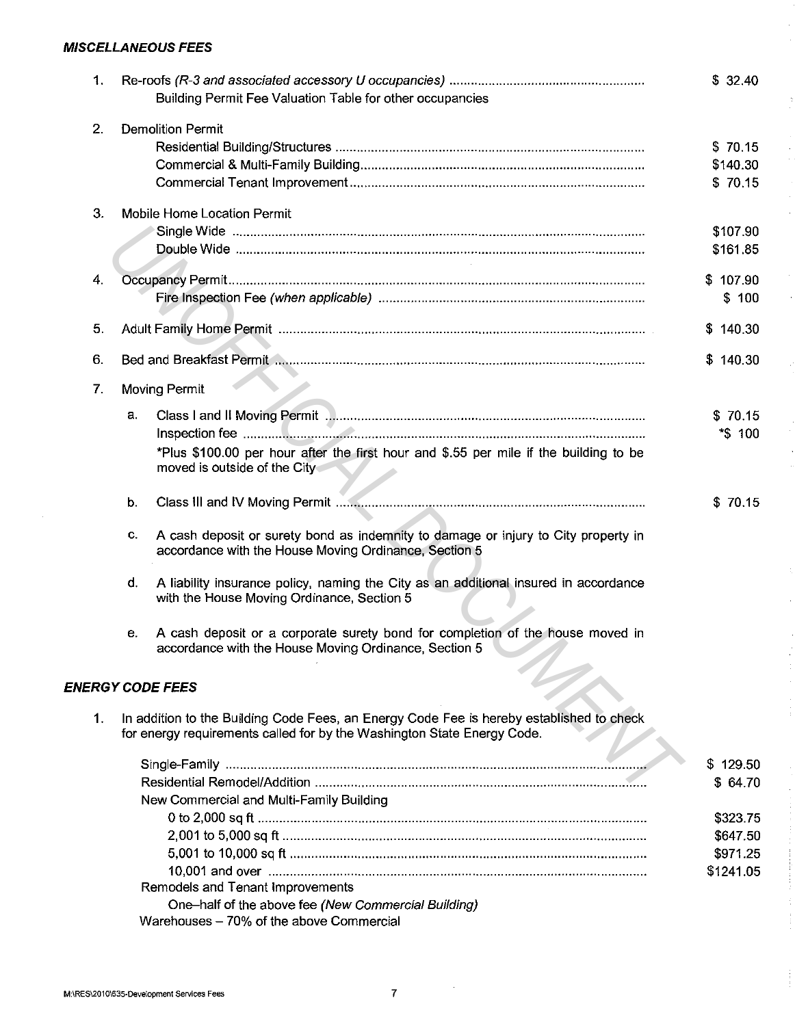## **MISCELLANEOUS FEES**

| 1. | Building Permit Fee Valuation Table for other occupancies                                                                                                           | \$32.40   |
|----|---------------------------------------------------------------------------------------------------------------------------------------------------------------------|-----------|
| 2. | <b>Demolition Permit</b>                                                                                                                                            |           |
|    |                                                                                                                                                                     | \$70.15   |
|    |                                                                                                                                                                     | \$140.30  |
|    |                                                                                                                                                                     | \$70.15   |
| 3. | Mobile Home Location Permit                                                                                                                                         |           |
|    |                                                                                                                                                                     | \$107.90  |
|    |                                                                                                                                                                     | \$161.85  |
| 4. |                                                                                                                                                                     | \$107.90  |
|    |                                                                                                                                                                     | \$100     |
| 5. |                                                                                                                                                                     | \$140.30  |
|    |                                                                                                                                                                     |           |
| 6. |                                                                                                                                                                     | \$140.30  |
| 7. | Moving Permit                                                                                                                                                       |           |
|    | а.                                                                                                                                                                  | \$70.15   |
|    |                                                                                                                                                                     | *\$ 100   |
|    | *Plus \$100.00 per hour after the first hour and \$.55 per mile if the building to be<br>moved is outside of the City                                               |           |
|    | b.                                                                                                                                                                  | \$70.15   |
|    | A cash deposit or surety bond as indemnity to damage or injury to City property in<br>C.<br>accordance with the House Moving Ordinance, Section 5                   |           |
|    | A liability insurance policy, naming the City as an additional insured in accordance<br>d.<br>with the House Moving Ordinance, Section 5                            |           |
|    | A cash deposit or a corporate surety bond for completion of the house moved in<br>е.<br>accordance with the House Moving Ordinance, Section 5                       |           |
|    | <b>ENERGY CODE FEES</b>                                                                                                                                             |           |
| 1. | In addition to the Building Code Fees, an Energy Code Fee is hereby established to check<br>for energy requirements called for by the Washington State Energy Code. |           |
|    |                                                                                                                                                                     | \$129.50  |
|    |                                                                                                                                                                     | \$64.70   |
|    | New Commercial and Multi-Family Building                                                                                                                            |           |
|    |                                                                                                                                                                     | \$323.75  |
|    |                                                                                                                                                                     | \$647.50  |
|    |                                                                                                                                                                     | \$971.25  |
|    |                                                                                                                                                                     | \$1241.05 |
|    | Remodels and Tenant Improvements                                                                                                                                    |           |
|    | One-half of the above fee (New Commercial Building)                                                                                                                 |           |
|    | Warehouses - 70% of the above Commercial                                                                                                                            |           |

 $\ddot{\cdot}$ 

 $\ddot{\phantom{0}}$ 

i,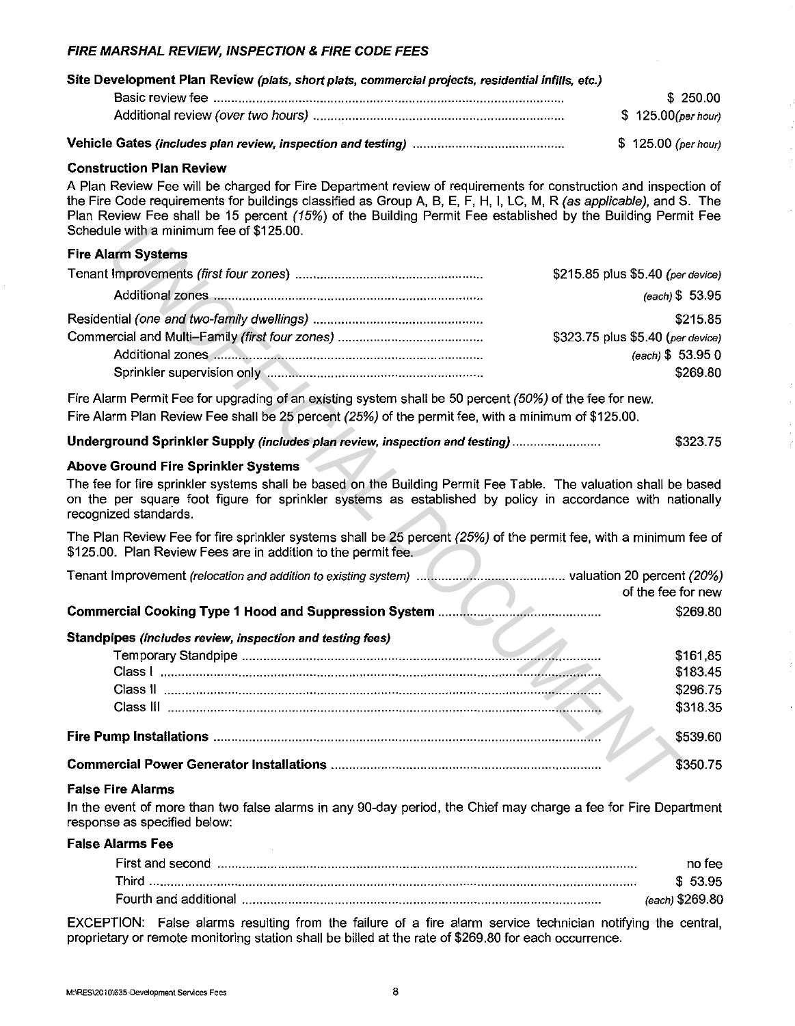## FIRE MARSHAL REVIEW, INSPECTION & FIRE CODE FEES

| Site Development Plan Review (plats, short plats, commercial projects, residential infills, etc.) |  |                      |          |
|---------------------------------------------------------------------------------------------------|--|----------------------|----------|
|                                                                                                   |  |                      | \$250.00 |
|                                                                                                   |  | \$125.00(per hour)   |          |
|                                                                                                   |  | $$125.00$ (per hour) |          |

#### Construction Plan Review

A Plan Review Fee will be charged for Fire Department review of requirements for construction and inspection of the Fire Code requirements for buildings classified as Group A, B, E, F, H, I, LC, M, R (as applicable), and S. The Plan Review Fee shall be 15 percent *(15%)* of the Building Permit Fee established by the Building Permit Fee Schedule with a minimum fee of \$125.00.

#### Fire Alarm Systems

| \$215.85 plus \$5.40 (per device) |
|-----------------------------------|
| $(each)$ \$ 53.95                 |
| \$215.85                          |
| \$323.75 plus \$5.40 (per device) |
| (each) \$53.950                   |
| \$269.80                          |

### Above Ground Fire Sprinkler Systems

| Schedule with a minimum fee of \$125.00.                                                                                                                                                                                                                |                                   |
|---------------------------------------------------------------------------------------------------------------------------------------------------------------------------------------------------------------------------------------------------------|-----------------------------------|
| <b>Fire Alarm Systems</b>                                                                                                                                                                                                                               |                                   |
|                                                                                                                                                                                                                                                         | \$215.85 plus \$5.40 (per device) |
|                                                                                                                                                                                                                                                         | (each) \$53.95                    |
|                                                                                                                                                                                                                                                         | \$215.85                          |
|                                                                                                                                                                                                                                                         | \$323.75 plus \$5.40 (per device) |
|                                                                                                                                                                                                                                                         | (each) \$53.950                   |
|                                                                                                                                                                                                                                                         | \$269.80                          |
| Fire Alarm Permit Fee for upgrading of an existing system shall be 50 percent (50%) of the fee for new.                                                                                                                                                 |                                   |
| Fire Alarm Plan Review Fee shall be 25 percent (25%) of the permit fee, with a minimum of \$125.00.                                                                                                                                                     |                                   |
| Underground Sprinkler Supply (includes plan review, inspection and testing)                                                                                                                                                                             | \$323.75                          |
| <b>Above Ground Fire Sprinkler Systems</b>                                                                                                                                                                                                              |                                   |
| The fee for fire sprinkler systems shall be based on the Building Permit Fee Table. The valuation shall be based<br>on the per square foot figure for sprinkler systems as established by policy in accordance with nationally<br>recognized standards. |                                   |
| The Plan Review Fee for fire sprinkler systems shall be 25 percent (25%) of the permit fee, with a minimum fee of<br>\$125.00. Plan Review Fees are in addition to the permit fee.                                                                      |                                   |
|                                                                                                                                                                                                                                                         | of the fee for new                |
|                                                                                                                                                                                                                                                         | \$269.80                          |
| Standpipes (includes review, inspection and testing fees)                                                                                                                                                                                               |                                   |
|                                                                                                                                                                                                                                                         | \$161,85                          |
|                                                                                                                                                                                                                                                         | \$183.45                          |
|                                                                                                                                                                                                                                                         | \$296.75                          |
|                                                                                                                                                                                                                                                         | \$318.35                          |
|                                                                                                                                                                                                                                                         | \$539.60                          |
|                                                                                                                                                                                                                                                         | \$350.75                          |
| <b>False Fire Alarms</b>                                                                                                                                                                                                                                |                                   |

#### False Fire Alarms

In the event of more than two false alarms in any 90-day period, the Chief may charge a fee for Fire Department response as specified below:

#### False Alarms Fee

| First and second | no tee          |
|------------------|-----------------|
| Third .          | \$53.95         |
|                  | (each) \$269.80 |

EXCEPTION: False alarms resulting from the failure of a fire alarm service technician notifying the central, proprietary or remote monitoring station shall be billed at the rate of \$269.80 for each occurrence.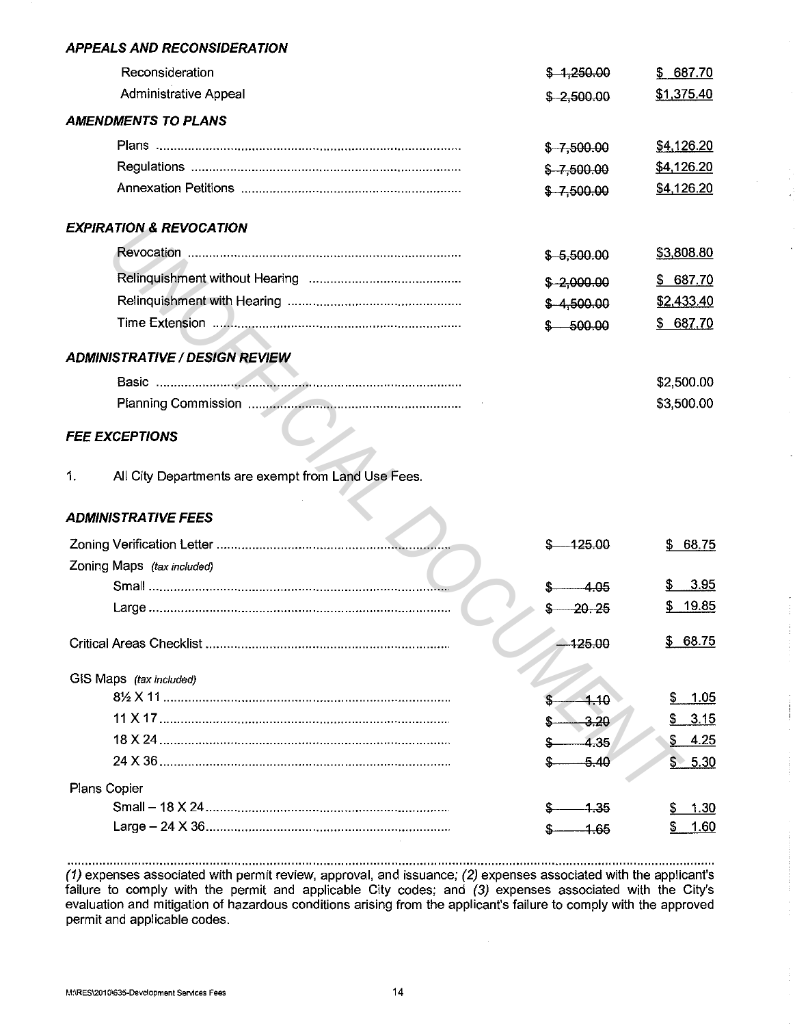### **APPEALS AND RECONSIDERATION**

| $$-1,250.00$  | \$687.70   |
|---------------|------------|
| $$ -2,500.00$ | \$1,375.40 |
|               |            |
| $$ -7,500.00$ | \$4,126.20 |
| $$ -7,500.00$ | \$4,126.20 |
| $$ -7,500.00$ | \$4,126.20 |
|               |            |
| $$-5,500.00$  | \$3,808.80 |
| $$ -2,000.00$ | \$687.70   |
| \$4,500.00    | \$2,433.40 |
| $$ -500.00$   | \$687.70   |
|               |            |
|               | \$2,500.00 |
|               | \$3,500.00 |
|               |            |

### **FEE EXCEPTIONS**

## **ADMINISTRATIVE FEES**

|    | <b>EXPIRATION &amp; REVOCATION</b>                  |               |             |
|----|-----------------------------------------------------|---------------|-------------|
|    |                                                     | $$-5,500.00$  | \$3,808.80  |
|    |                                                     | $$ -2,000.00$ | \$687.70    |
|    |                                                     | \$4,500.00    | \$2,433.40  |
|    |                                                     | $-500.00$     | \$687.70    |
|    | <b>ADMINISTRATIVE / DESIGN REVIEW</b>               |               |             |
|    |                                                     |               | \$2,500.00  |
|    |                                                     |               | \$3,500.00  |
|    | <b>FEE EXCEPTIONS</b>                               |               |             |
| 1. | All City Departments are exempt from Land Use Fees. |               |             |
|    | <b>ADMINISTRATIVE FEES</b>                          |               |             |
|    |                                                     | -125.00       | 68.75<br>S. |
|    | Zoning Maps (tax included)                          |               |             |
|    |                                                     | 4.05          | 3.95        |
|    |                                                     | 20.25         | \$ 19.85    |
|    |                                                     | 425.00        | \$68.75     |
|    | GIS Maps (tax included)                             |               |             |
|    |                                                     | 4.10          | 1.05<br>\$  |
|    |                                                     | -3.20         | \$<br>3.15  |
|    |                                                     | 4.35          | \$ 4.25     |
|    |                                                     | $-5.40$       | \$5.30      |
|    | Plans Copier                                        |               |             |
|    |                                                     | -1.35         | 1.30        |
|    |                                                     | $-1.65$       | S<br>1.60   |

(1) expenses associated with permit review, approval, and issuance; (2) expenses associated with the applicant's failure to comply with the permit and applicable City codes; and (3) expenses associated with the City's evaluation and mitigation of hazardous conditions arising from the applicant's failure to comply with the approved permit and applicable codes.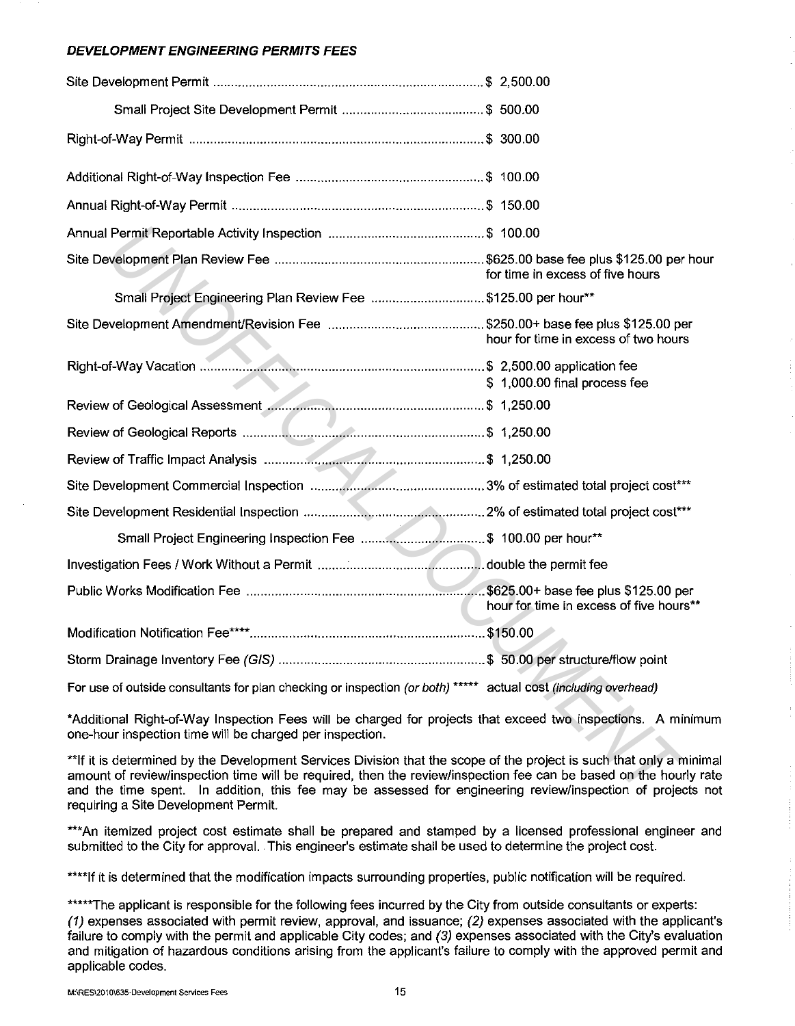## **DEVELOPMENT ENGINEERING PERMITS FEES**

|                                                                                                                                                                                                                                                                                                                                                        | for time in excess of five hours        |
|--------------------------------------------------------------------------------------------------------------------------------------------------------------------------------------------------------------------------------------------------------------------------------------------------------------------------------------------------------|-----------------------------------------|
| Small Project Engineering Plan Review Fee \$125.00 per hour**                                                                                                                                                                                                                                                                                          |                                         |
|                                                                                                                                                                                                                                                                                                                                                        | hour for time in excess of two hours    |
|                                                                                                                                                                                                                                                                                                                                                        | \$1,000.00 final process fee            |
|                                                                                                                                                                                                                                                                                                                                                        |                                         |
|                                                                                                                                                                                                                                                                                                                                                        |                                         |
|                                                                                                                                                                                                                                                                                                                                                        |                                         |
|                                                                                                                                                                                                                                                                                                                                                        |                                         |
|                                                                                                                                                                                                                                                                                                                                                        |                                         |
|                                                                                                                                                                                                                                                                                                                                                        |                                         |
|                                                                                                                                                                                                                                                                                                                                                        |                                         |
|                                                                                                                                                                                                                                                                                                                                                        | hour for time in excess of five hours** |
|                                                                                                                                                                                                                                                                                                                                                        |                                         |
|                                                                                                                                                                                                                                                                                                                                                        |                                         |
| For use of outside consultants for plan checking or inspection (or both) ***** actual cost (including overhead)                                                                                                                                                                                                                                        |                                         |
| *Additional Right-of-Way Inspection Fees will be charged for projects that exceed two inspections. A minimum<br>one-hour inspection time will be charged per inspection.                                                                                                                                                                               |                                         |
| **If it is determined by the Development Services Division that the scope of the project is such that only a minima<br>amount of review/inspection time will be required, then the review/inspection fee can be based on the hourly rate<br>and the time spent. In addition, this fee may be assessed for engineering review/inspection of projects no |                                         |

\*\*If it is determined by the Development Services Division that the scope of the project is such that only a minimal amount of review/inspection time will be required, then the review/inspection fee can be based on the hourly rate and the time spent. In addition, this fee may be assessed for engineering review/inspection of projects not requiring a Site Development Permit.

\*\*\*An itemized project cost estimate shall be prepared and stamped by a licensed professional engineer and submitted to the City for approval. . This engineer's estimate shall be used to determine the project cost.

\*\*\*\*If it is determined that the modification impacts surrounding properties, public notification will be required.

\*\*\*\*\*The applicant is responsible for the following fees incurred by the City from outside consultants or experts: (1) expenses associated with permit review, approval, and issuance; (2) expenses associated with the applicant's failure to comply with the permit and applicable City codes; and (3) expenses associated with the City's evaluation and mitigation of hazardous conditions arising from the applicant's failure to comply with the approved permit and applicable codes.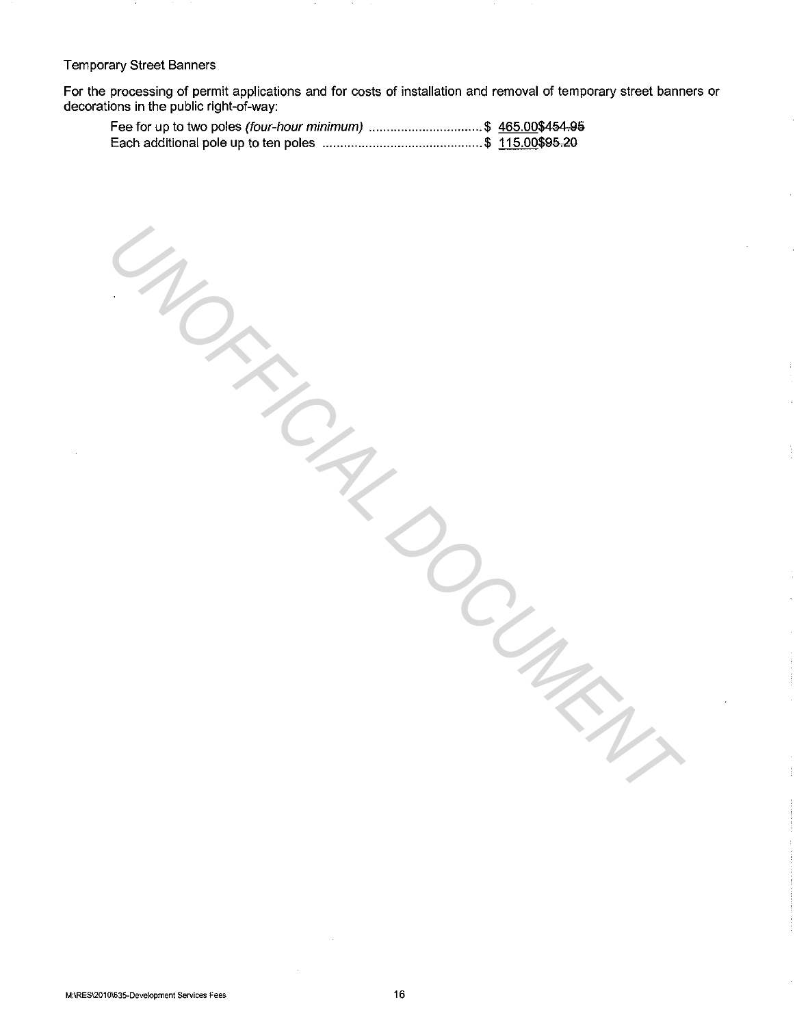#### Temporary Street Banners

For the processing of permit applications and for costs of installation and removal of temporary street banners or decorations in the public right-of-way:

**MORTING DOCUMENT** 

| Fee for up to two poles (four-hour minimum) \$ 465.00\$454.95 |  |
|---------------------------------------------------------------|--|
|                                                               |  |

**M:\RES\2010\635-Development Services Fees** 16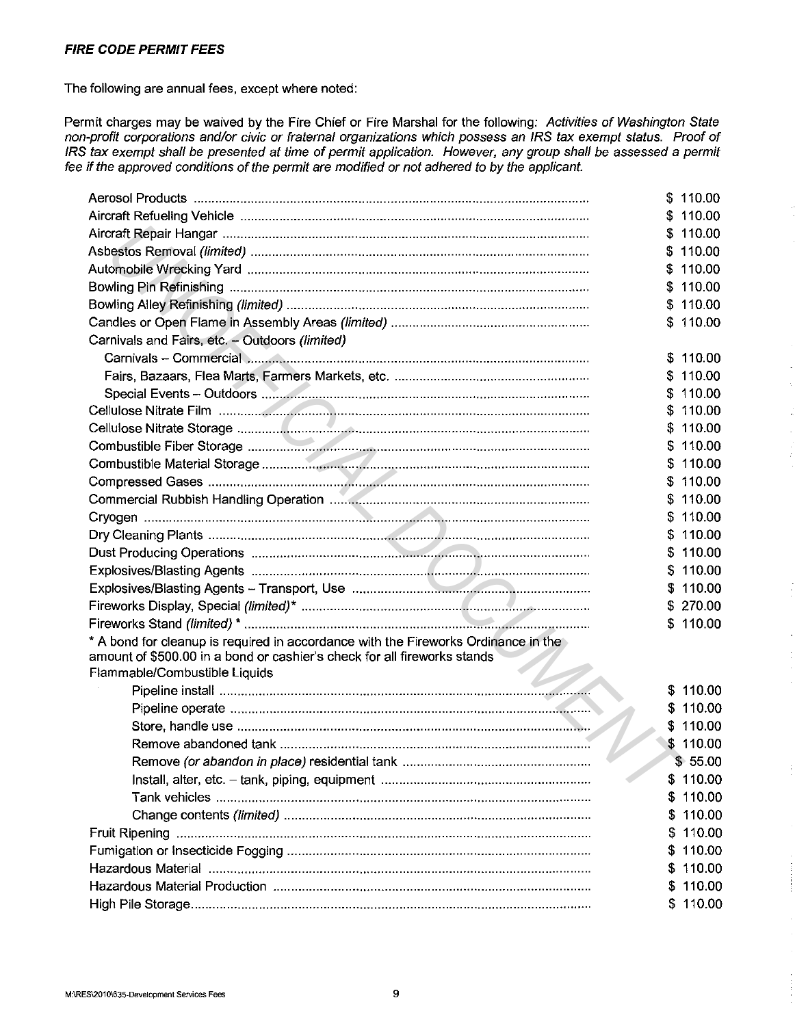## **FIRE CODE PERMIT FEES**

The following are annual fees, except where noted:

Permit charges may be waived by the Fire Chief or Fire Marshal for the following: Activities of Washington State non-profit corporations and/or civic or fraternal organizations which possess an IRS tax exempt status. Proof of IRS tax exempt shall be presented at time of permit application. However, any group shall be assessed a permit fee if the approved conditions of the permit are modified or not adhered to by the applicant.

|                                                                                    |     | \$110.00 |
|------------------------------------------------------------------------------------|-----|----------|
|                                                                                    |     | 110.00   |
|                                                                                    |     | \$110.00 |
|                                                                                    |     | 110.00   |
|                                                                                    |     | \$110.00 |
|                                                                                    |     | \$110.00 |
|                                                                                    |     | \$110.00 |
|                                                                                    |     | \$110.00 |
| Carnivals and Fairs, etc. - Outdoors (limited)                                     |     |          |
|                                                                                    |     | \$110.00 |
|                                                                                    |     | \$110.00 |
|                                                                                    | S.  | 110.00   |
|                                                                                    |     | \$110.00 |
|                                                                                    | S.  | 110.00   |
|                                                                                    |     | \$110.00 |
|                                                                                    |     | \$110.00 |
|                                                                                    |     | \$110.00 |
|                                                                                    |     | \$110.00 |
|                                                                                    |     | \$110.00 |
|                                                                                    |     | \$110.00 |
|                                                                                    | S.  | 110.00   |
|                                                                                    |     | \$110.00 |
|                                                                                    |     | \$110.00 |
|                                                                                    |     | \$270.00 |
|                                                                                    |     | \$110.00 |
| * A bond for cleanup is required in accordance with the Fireworks Ordinance in the |     |          |
| amount of \$500.00 in a bond or cashier's check for all fireworks stands           |     |          |
| Flammable/Combustible Liquids                                                      |     |          |
|                                                                                    |     | \$110.00 |
|                                                                                    |     | \$110.00 |
|                                                                                    |     | \$110.00 |
|                                                                                    |     | \$110.00 |
|                                                                                    |     | \$55.00  |
|                                                                                    | \$  | 110.00   |
|                                                                                    | S   | 110.00   |
|                                                                                    | æ.  | 110.00   |
|                                                                                    | 5   | 110.00   |
|                                                                                    | \$. | 110.00   |
|                                                                                    | S.  | 110.00   |
|                                                                                    | P   | 110.00   |
|                                                                                    | S.  | 110.00   |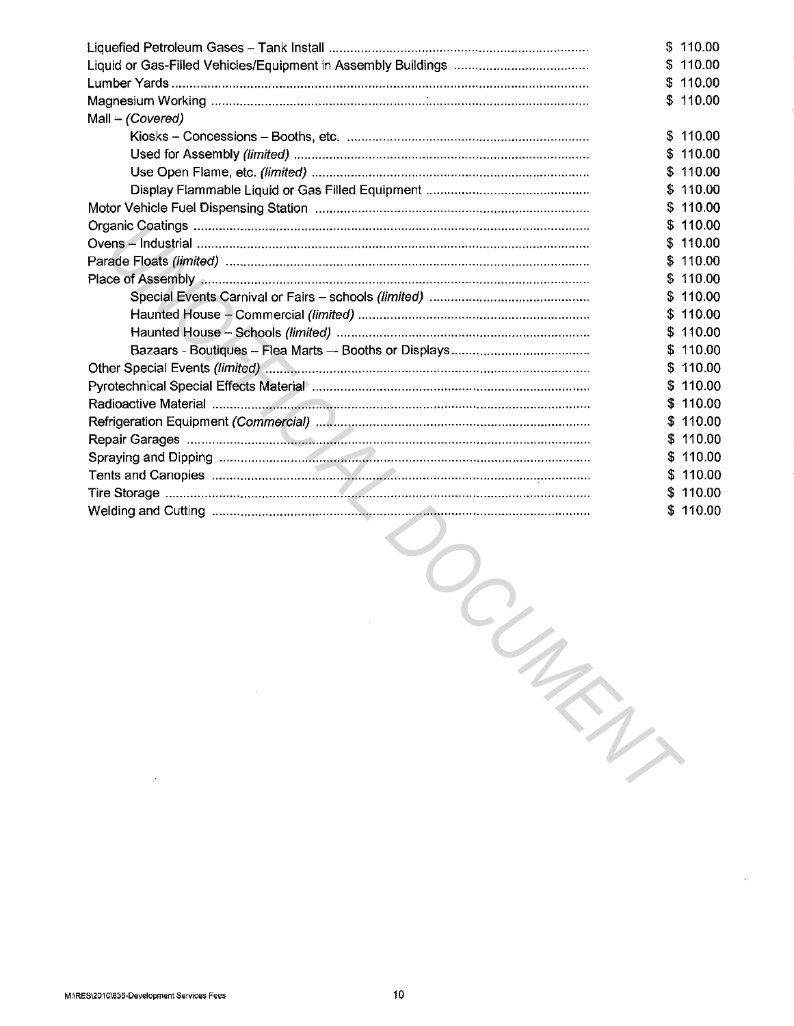|                  |    | \$110.00 |
|------------------|----|----------|
|                  | S. | 110.00   |
|                  | S. | 110.00   |
|                  | \$ | 110.00   |
| Mall - (Covered) |    |          |
|                  | S. | 110.00   |
|                  | S  | 110.00   |
|                  | S. | 110.00   |
|                  | S. | 110.00   |
|                  | S  | 110.00   |
|                  | S  | 110.00   |
|                  |    | 110.00   |
|                  | \$ | 110.00   |
|                  | \$ | 110.00   |
|                  | S. | 110.00   |
|                  |    | 110.00   |
|                  |    | 110.00   |
|                  | S  | 110.00   |
|                  | S  | 110.00   |
|                  | S  | 110.00   |
|                  |    | 110.00   |
|                  | S  | 110.00   |
|                  | \$ | 110.00   |
|                  | S. | 110.00   |
|                  |    | 110.00   |
|                  | S  | 110.00   |
|                  |    | \$110.00 |

**WONTENS**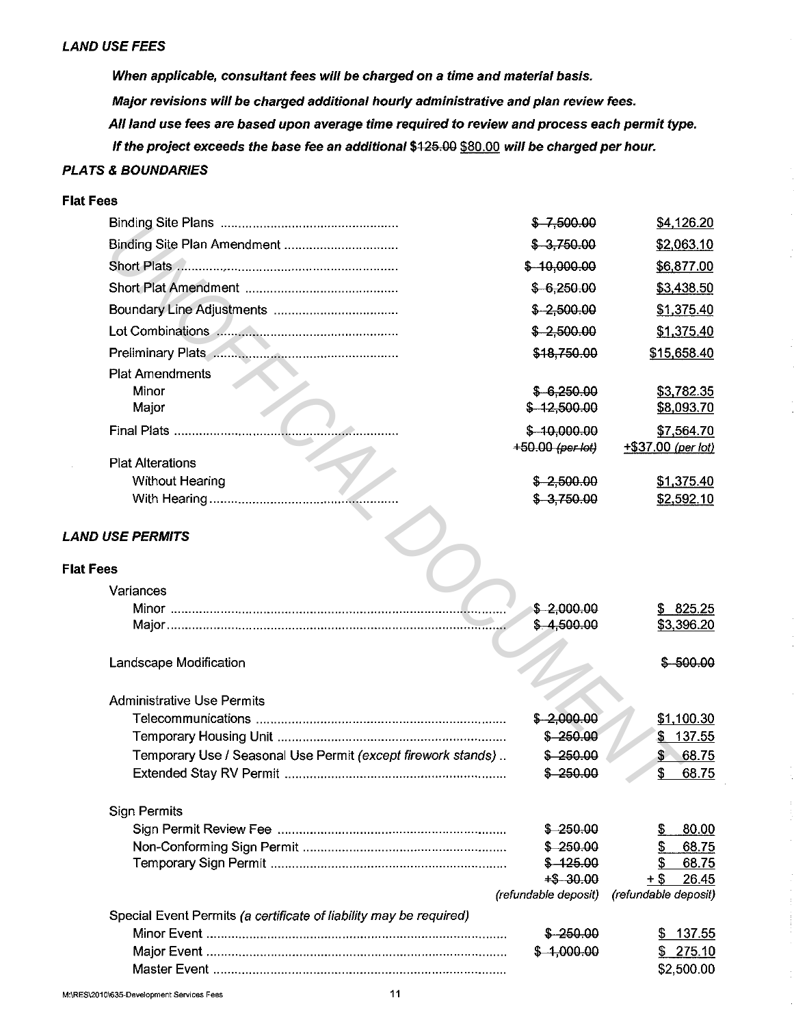### **LAND USE FEES**

**When applicable, consultant fees will be charged on a time and material basis. Major revisions will be charged additional hourly administrative and plan review fees. All land use fees are based upon average time required to review and process each permit type.**  If the project exceeds the base fee an additional \$425.00 \$80.00 will be charged per hour.

## **PLATS & BOUNDARIES**

## **Flat Fees**

|                                                                    | $$ -7,500.00$           | \$4,126.20             |
|--------------------------------------------------------------------|-------------------------|------------------------|
| Binding Site Plan Amendment                                        | $$-3,750.00$            | \$2,063.10             |
|                                                                    | $$-10,000.00$           | \$6,877.00             |
|                                                                    | $$-6,250.00$            | \$3,438.50             |
|                                                                    | $$-2,500.00$            | \$1,375.40             |
|                                                                    | $$ -2,500.00$           | \$1,375.40             |
| Preliminary Plats                                                  | \$18,750.00             | \$15,658.40            |
| <b>Plat Amendments</b>                                             |                         |                        |
| Minor                                                              | $$-6,250.00$            | \$3,782.35             |
| Major                                                              | $$-12,500.00$           | \$8,093.70             |
| Final Plats                                                        | $$-10,000.00$           | \$7,564.70             |
|                                                                    | $+50.00$ (per lot)      | +\$37.00 (per lot)     |
| <b>Plat Alterations</b>                                            |                         |                        |
| <b>Without Hearing</b>                                             | $$ -2,500.00$           | \$1,375.40             |
|                                                                    | $$-3,750.00$            | \$2,592.10             |
| <b>LAND USE PERMITS</b>                                            |                         |                        |
|                                                                    |                         |                        |
| <b>Flat Fees</b>                                                   |                         |                        |
| Variances                                                          |                         |                        |
|                                                                    | \$2,000.00              | \$825.25               |
|                                                                    | \$4,500.00              | \$3,396.20             |
|                                                                    |                         |                        |
| Landscape Modification                                             |                         | $$-500.00$             |
| <b>Administrative Use Permits</b>                                  |                         |                        |
|                                                                    | \$2,000.00              | \$1,100.30             |
|                                                                    | $$ -250.00$             | \$137.55               |
| Temporary Use / Seasonal Use Permit (except firework stands)       | \$250.00                | $\frac{1}{2}$<br>68.75 |
|                                                                    | $$-250.00$              | \$<br>68.75            |
|                                                                    |                         |                        |
| Sign Permits                                                       |                         |                        |
|                                                                    | $$ -250.00$<br>\$250.00 | 80.00<br>S<br>68.75    |
|                                                                    | $$-125.00$              | 68.75                  |
|                                                                    | $+$ -30.00$             | 26.45<br>+ S           |
|                                                                    | (refundable deposit)    | (refundable deposit)   |
| Special Event Permits (a certificate of liability may be required) |                         |                        |
|                                                                    | \$ 250.00               | 137.55<br>S            |
|                                                                    | $$-1,000.00$            | \$275.10               |
|                                                                    |                         | \$2,500.00             |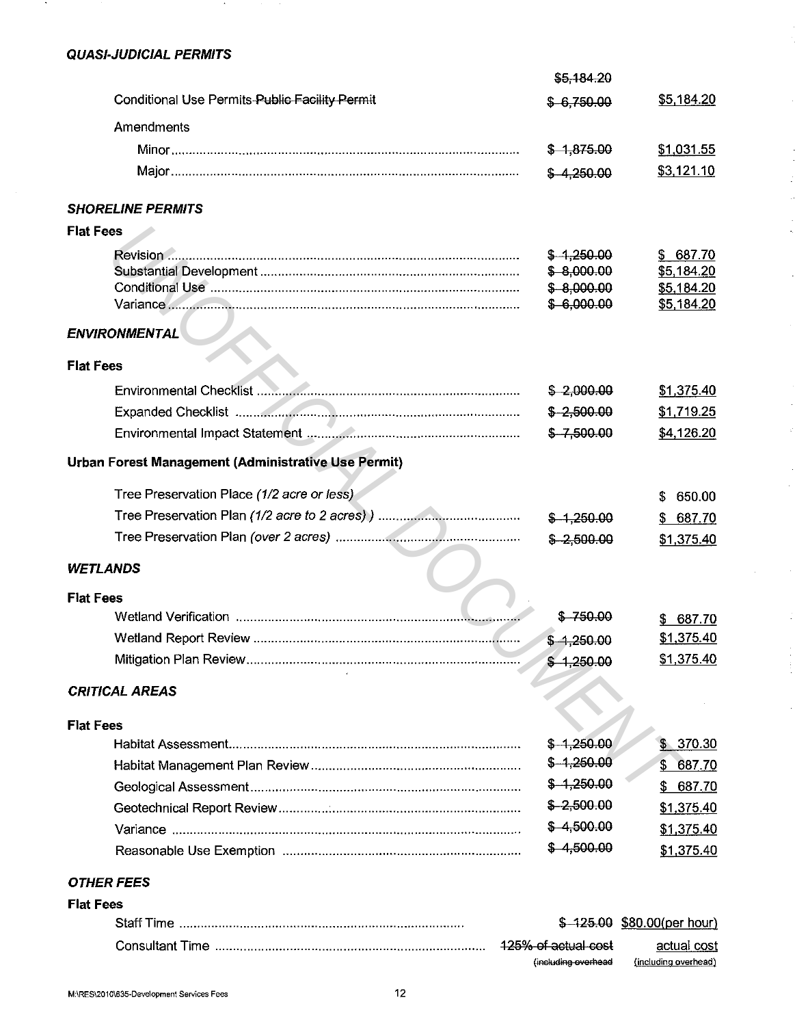# **QUASI-JUDICIAL PERMITS**

| \$5,184.20                                                   |                                     |
|--------------------------------------------------------------|-------------------------------------|
| Conditional Use Permits-Public Facility Permit<br>\$6,750.00 | \$5,184.20                          |
| Amendments                                                   |                                     |
| $$-1,875.00$                                                 | \$1,031.55                          |
| \$4,250.00                                                   | \$3,121.10                          |
| <b>SHORELINE PERMITS</b>                                     |                                     |
| <b>Flat Fees</b>                                             |                                     |
| $$-1,250.00$                                                 | 687.70<br>S.                        |
| \$8,000.00                                                   | \$5,184.20                          |
| $$-8,000.00$                                                 | \$5,184.20                          |
| \$6,000.00                                                   | \$5,184.20                          |
| <b>ENVIRONMENTAL</b>                                         |                                     |
| <b>Flat Fees</b>                                             |                                     |
| $$ -2,000.00$                                                | \$1,375.40                          |
| $$ -2,500.00$                                                | \$1,719.25                          |
| $$ -7,500.00$                                                | \$4,126.20                          |
| Urban Forest Management (Administrative Use Permit)          |                                     |
| Tree Preservation Place (1/2 acre or less)                   | 650.00<br>S.                        |
| $$-1,250.00$                                                 | 687.70<br>\$                        |
| $$ -2,500.00$                                                | \$1,375.40                          |
| <b>WETLANDS</b>                                              |                                     |
| <b>Flat Fees</b>                                             |                                     |
| $$-750.00$                                                   | \$687.70                            |
| $$ -1,250.00$                                                | \$1,375.40                          |
| $$-1,250.00$                                                 | \$1,375.40                          |
| <b>CRITICAL AREAS</b>                                        |                                     |
| <b>Flat Fees</b>                                             |                                     |
| $$-1,250.00$                                                 | \$370.30                            |
| $$-1,250.00$                                                 | \$ 687.70                           |
| $$-1,250.00$                                                 | 687.70<br>\$.                       |
| $$-2,500.00$                                                 | \$1,375.40                          |
| $$-4,500.00$                                                 | \$1,375.40                          |
| \$4,500.00                                                   | \$1,375.40                          |
| <b>OTHER FEES</b>                                            |                                     |
| <b>Flat Fees</b>                                             |                                     |
|                                                              | \$ 125.00 \$80.00(per hour)         |
| 125% of actual cost<br>(including overhead                   | actual cost<br>(including overhead) |

J.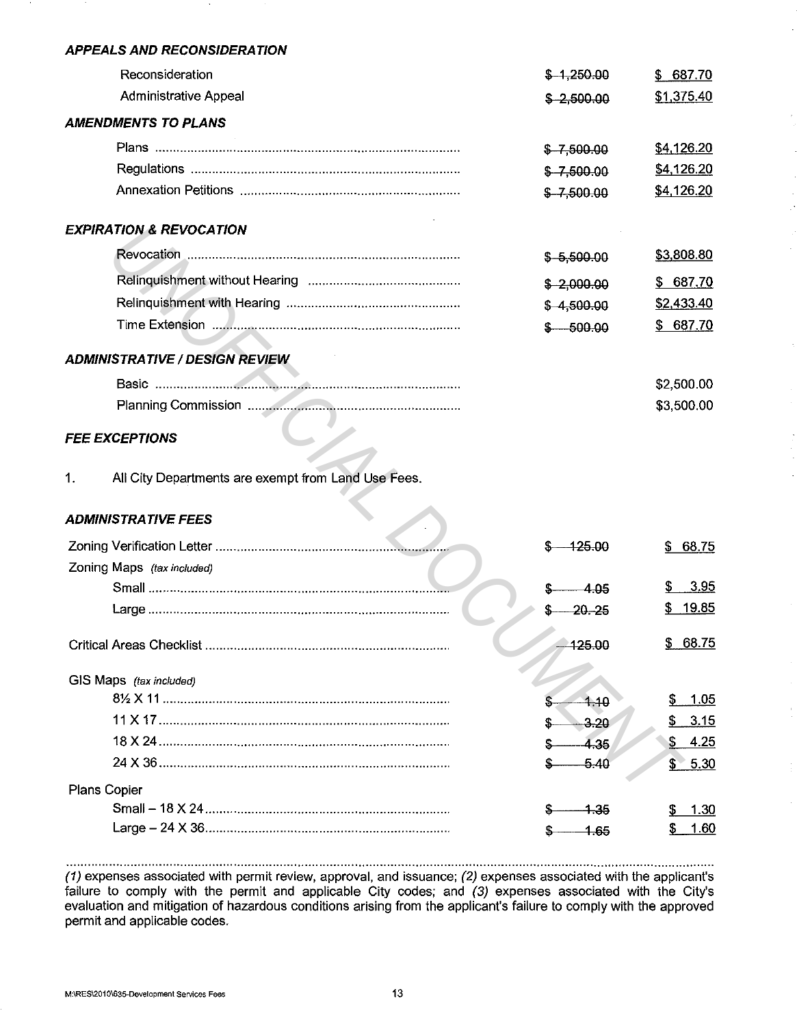#### **APPEALS AND RECONSIDERA T/ON**

| Reconsideration                    | $$-1,250.00$  | 687.70<br>\$ |
|------------------------------------|---------------|--------------|
| <b>Administrative Appeal</b>       | $$ -2,500.00$ | \$1,375.40   |
| AMENDMENTS TO PLANS                |               |              |
|                                    | $$ -7,500.00$ | \$4,126.20   |
|                                    | $$ -7,500.00$ | \$4,126.20   |
|                                    | $$ -7,500.00$ | \$4,126.20   |
| <b>EXPIRATION &amp; REVOCATION</b> |               |              |
| Revocation                         | $$-5,500.00$  | \$3,808.80   |
|                                    | \$2,000.00    | \$687.70     |
|                                    | $$-4,500.00$  | \$2,433.40   |
| Time Extension                     | - 500.00      | \$687.70     |
| ADMINISTRATIVE / DESIGN REVIEW     |               |              |
|                                    |               | \$2,500.00   |
|                                    |               | \$3,500.00   |
|                                    |               |              |

## **FEE EXCEPTIONS**

## **ADMINISTRATIVE FEES**

| <b>EXPIRATION &amp; REVOCATION</b>                        |              |             |
|-----------------------------------------------------------|--------------|-------------|
|                                                           | $$-5,500.00$ | \$3,808.80  |
|                                                           | \$2,000.00   | \$687.70    |
|                                                           | $$-4,500.00$ | \$2,433.40  |
|                                                           | $$ -500.00$  | \$687.70    |
| <b>ADMINISTRATIVE / DESIGN REVIEW</b>                     |              |             |
|                                                           |              | \$2,500.00  |
|                                                           |              | \$3,500.00  |
| <b>FEE EXCEPTIONS</b>                                     |              |             |
| All City Departments are exempt from Land Use Fees.<br>1. |              |             |
| <b>ADMINISTRATIVE FEES</b>                                |              |             |
|                                                           | 425.00       | \$68.75     |
| Zoning Maps (tax included)                                |              |             |
|                                                           | 4.05         | 3.95        |
|                                                           | 20.25        | \$19.85     |
|                                                           | 125.00       | \$68.75     |
| GIS Maps (tax included)                                   |              |             |
|                                                           | 4.10         | 1.05<br>S.  |
|                                                           | $-3.20$      | 3.15<br>\$. |
|                                                           | 4.35         | \$4.25      |
|                                                           | -5.40        | \$5.30      |
| <b>Plans Copier</b>                                       |              |             |
|                                                           | -1.35        | 1.30        |
|                                                           | $-1.65$      | 1.60<br>\$  |

(1) expenses associated with permit review, approval, and issuance; (2) expenses associated with the applicant's failure to comply with the permit and applicable City codes; and (3) expenses associated with the City's evaluation and mitigation of hazardous conditions arising from the applicant's failure to comply with the approved permit and applicable codes.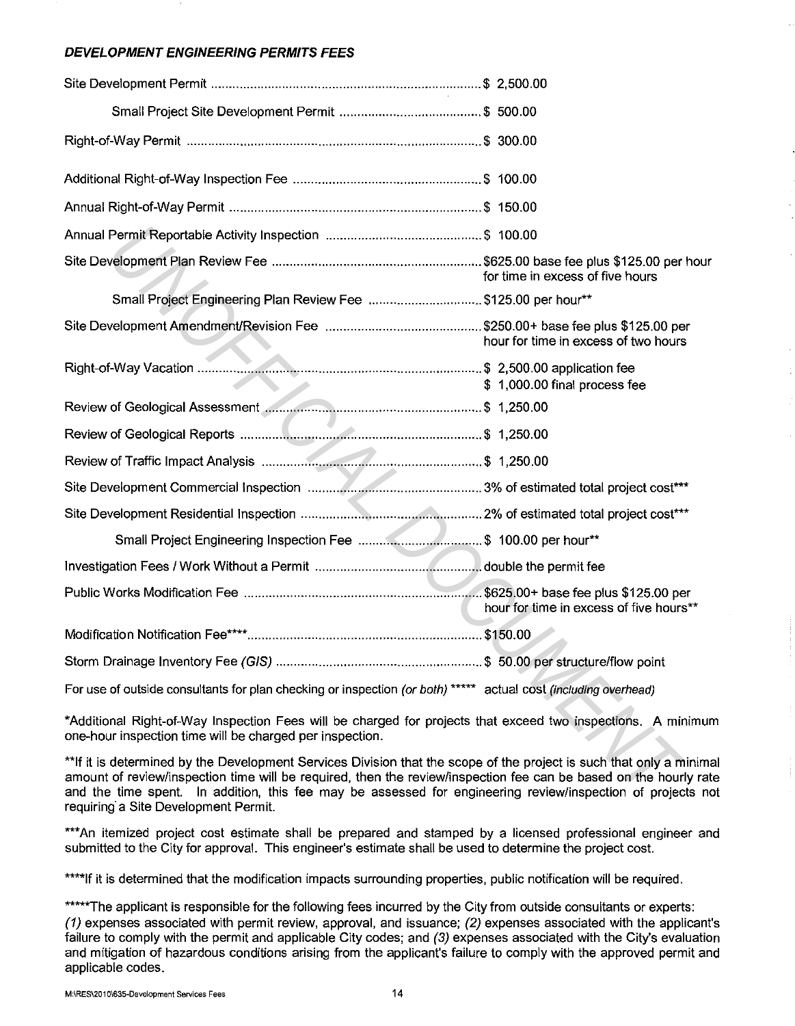## **DEVELOPMENT ENGINEERING PERMITS FEES**

|                                                                                                                                                                                                                                                                                                                                                         | for time in excess of five hours        |
|---------------------------------------------------------------------------------------------------------------------------------------------------------------------------------------------------------------------------------------------------------------------------------------------------------------------------------------------------------|-----------------------------------------|
| Small Project Engineering Plan Review Fee \$125.00 per hour**                                                                                                                                                                                                                                                                                           |                                         |
|                                                                                                                                                                                                                                                                                                                                                         | hour for time in excess of two hours    |
|                                                                                                                                                                                                                                                                                                                                                         | \$1,000.00 final process fee            |
|                                                                                                                                                                                                                                                                                                                                                         |                                         |
|                                                                                                                                                                                                                                                                                                                                                         |                                         |
|                                                                                                                                                                                                                                                                                                                                                         |                                         |
|                                                                                                                                                                                                                                                                                                                                                         |                                         |
|                                                                                                                                                                                                                                                                                                                                                         |                                         |
|                                                                                                                                                                                                                                                                                                                                                         |                                         |
|                                                                                                                                                                                                                                                                                                                                                         |                                         |
|                                                                                                                                                                                                                                                                                                                                                         | hour for time in excess of five hours** |
|                                                                                                                                                                                                                                                                                                                                                         |                                         |
|                                                                                                                                                                                                                                                                                                                                                         |                                         |
| For use of outside consultants for plan checking or inspection (or both) ***** actual cost (including overhead)                                                                                                                                                                                                                                         |                                         |
| *Additional Right-of-Way Inspection Fees will be charged for projects that exceed two inspections. A minimum<br>one-hour inspection time will be charged per inspection.                                                                                                                                                                                |                                         |
| **If it is determined by the Development Services Division that the scope of the project is such that only a minima<br>amount of review/inspection time will be required, then the review/inspection fee can be based on the hourly rate<br>and the time spent. In addition, this fee may be assessed for engineering review/inspection of projects not |                                         |

\*\*If it is determined by the Development Services Division that the scope of the project is such that only a minimal amount of review/inspection time will be required, then the review/inspection fee can be based on the hourly rate and the time spent. In addition, this fee may be assessed for engineering review/inspection of projects not requiring· a Site Development Permit.

\*\*\*An itemized project cost estimate shall be prepared and stamped by a licensed professional engineer and submitted to the City for approval. This engineer's estimate shall be used to determine the project cost.

\*\*\*\*If it is determined that the modification impacts surrounding properties, public notification will be required.

\*\*\*\*\*The applicant is responsible for the following fees incurred by the City from outside consultants or experts: (1) expenses associated with permit review, approval, and issuance; (2) expenses associated with the applicant's failure to comply with the permit and applicable City codes; and (3) expenses associated with the City's evaluation and mitigation of hazardous conditions arising from the applicant's failure to comply with the approved permit and applicable codes.